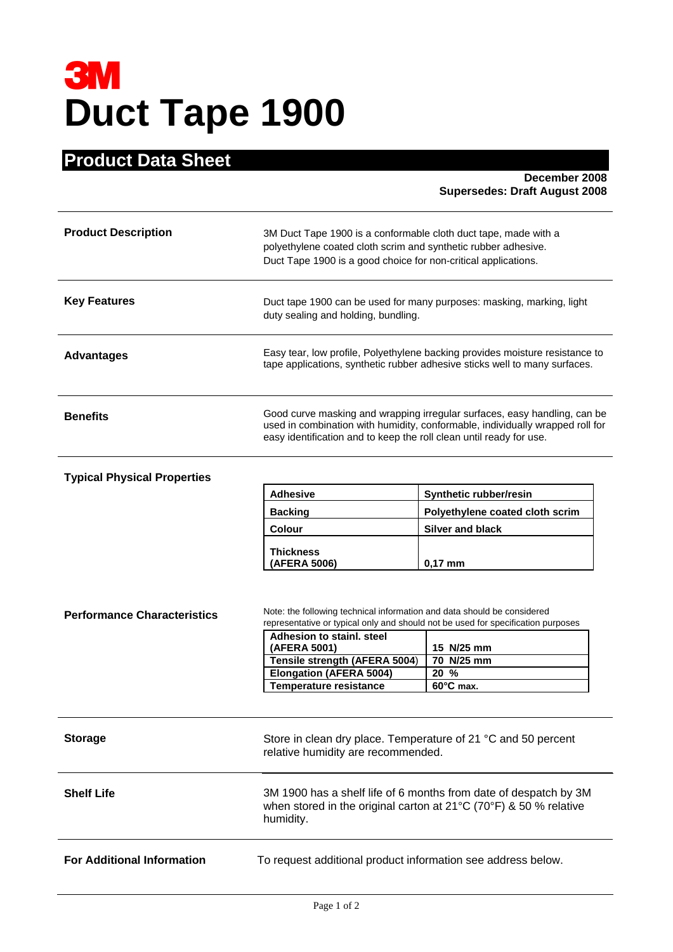# **3M**<br>Duct Tape 1900

# **Product Data Sheet**

 **December 2008 Supersedes: Draft August 2008** 

| <b>Product Description</b> | 3M Duct Tape 1900 is a conformable cloth duct tape, made with a<br>polyethylene coated cloth scrim and synthetic rubber adhesive.<br>Duct Tape 1900 is a good choice for non-critical applications.                               |
|----------------------------|-----------------------------------------------------------------------------------------------------------------------------------------------------------------------------------------------------------------------------------|
| <b>Key Features</b>        | Duct tape 1900 can be used for many purposes: masking, marking, light<br>duty sealing and holding, bundling.                                                                                                                      |
| <b>Advantages</b>          | Easy tear, low profile, Polyethylene backing provides moisture resistance to<br>tape applications, synthetic rubber adhesive sticks well to many surfaces.                                                                        |
| <b>Benefits</b>            | Good curve masking and wrapping irregular surfaces, easy handling, can be<br>used in combination with humidity, conformable, individually wrapped roll for<br>easy identification and to keep the roll clean until ready for use. |

# **Typical Physical Properties**

| <b>Adhesive</b>  | Synthetic rubber/resin          |  |
|------------------|---------------------------------|--|
| <b>Backing</b>   | Polyethylene coated cloth scrim |  |
| <b>Colour</b>    | Silver and black                |  |
| <b>Thickness</b> |                                 |  |
| (AFERA 5006)     | $0.17$ mm                       |  |

| <b>Performance Characteristics</b> | Note: the following technical information and data should be considered<br>representative or typical only and should not be used for specification purposes<br>Adhesion to stainl, steel<br>(AFERA 5001)<br>Tensile strength (AFERA 5004)<br><b>Elongation (AFERA 5004)</b><br><b>Temperature resistance</b> | 15 N/25 mm<br>70 N/25 mm<br>$20\%$<br>$60^{\circ}$ C max. |  |
|------------------------------------|--------------------------------------------------------------------------------------------------------------------------------------------------------------------------------------------------------------------------------------------------------------------------------------------------------------|-----------------------------------------------------------|--|
| <b>Storage</b>                     | Store in clean dry place. Temperature of 21 °C and 50 percent<br>relative humidity are recommended.                                                                                                                                                                                                          |                                                           |  |
| <b>Shelf Life</b>                  | 3M 1900 has a shelf life of 6 months from date of despatch by 3M<br>when stored in the original carton at $21^{\circ}$ C (70°F) & 50 % relative<br>humidity.                                                                                                                                                 |                                                           |  |
| <b>For Additional Information</b>  | To request additional product information see address below.                                                                                                                                                                                                                                                 |                                                           |  |